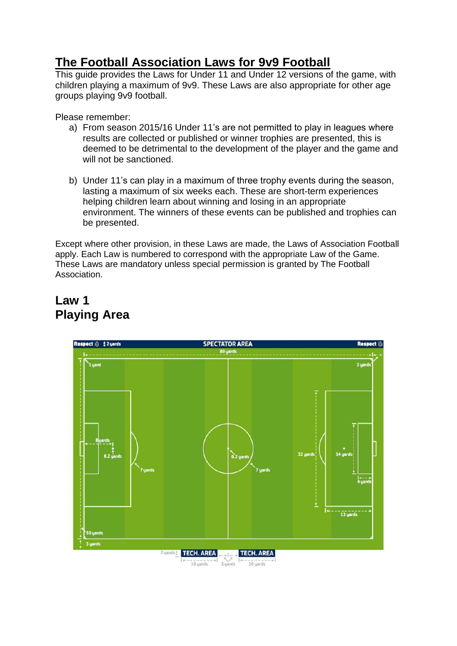## **The Football Association Laws for 9v9 Football**

This guide provides the Laws for Under 11 and Under 12 versions of the game, with children playing a maximum of 9v9. These Laws are also appropriate for other age groups playing 9v9 football.

Please remember:

- a) From season 2015/16 Under 11's are not permitted to play in leagues where results are collected or published or winner trophies are presented, this is deemed to be detrimental to the development of the player and the game and will not be sanctioned.
- b) Under 11's can play in a maximum of three trophy events during the season, lasting a maximum of six weeks each. These are short-term experiences helping children learn about winning and losing in an appropriate environment. The winners of these events can be published and trophies can be presented.

Except where other provision, in these Laws are made, the Laws of Association Football apply. Each Law is numbered to correspond with the appropriate Law of the Game. These Laws are mandatory unless special permission is granted by The Football Association.

## **Law 1 Playing Area**

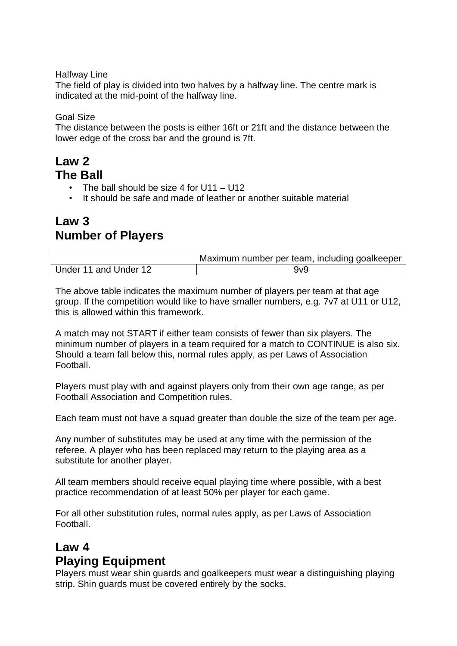Halfway Line

The field of play is divided into two halves by a halfway line. The centre mark is indicated at the mid-point of the halfway line.

Goal Size

The distance between the posts is either 16ft or 21ft and the distance between the lower edge of the cross bar and the ground is 7ft.

### **Law 2 The Ball**

- The ball should be size 4 for  $U11 U12$
- It should be safe and made of leather or another suitable material

## **Law 3 Number of Players**

|                       | Maximum number per team, including goalkeeper |
|-----------------------|-----------------------------------------------|
| Under 11 and Under 12 | 9v9                                           |

The above table indicates the maximum number of players per team at that age group. If the competition would like to have smaller numbers, e.g. 7v7 at U11 or U12, this is allowed within this framework.

A match may not START if either team consists of fewer than six players. The minimum number of players in a team required for a match to CONTINUE is also six. Should a team fall below this, normal rules apply, as per Laws of Association Football.

Players must play with and against players only from their own age range, as per Football Association and Competition rules.

Each team must not have a squad greater than double the size of the team per age.

Any number of substitutes may be used at any time with the permission of the referee. A player who has been replaced may return to the playing area as a substitute for another player.

All team members should receive equal playing time where possible, with a best practice recommendation of at least 50% per player for each game.

For all other substitution rules, normal rules apply, as per Laws of Association Football.

## **Law 4 Playing Equipment**

Players must wear shin guards and goalkeepers must wear a distinguishing playing strip. Shin guards must be covered entirely by the socks.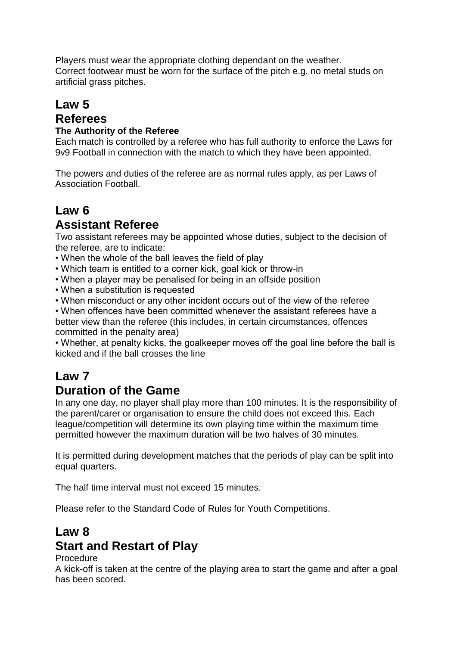Players must wear the appropriate clothing dependant on the weather. Correct footwear must be worn for the surface of the pitch e.g. no metal studs on artificial grass pitches.

## **Law 5**

### **Referees**

#### **The Authority of the Referee**

Each match is controlled by a referee who has full authority to enforce the Laws for 9v9 Football in connection with the match to which they have been appointed.

The powers and duties of the referee are as normal rules apply, as per Laws of Association Football.

#### **Law 6 Assistant Referee**

Two assistant referees may be appointed whose duties, subject to the decision of the referee, are to indicate:

- When the whole of the ball leaves the field of play
- Which team is entitled to a corner kick, goal kick or throw-in
- When a player may be penalised for being in an offside position
- When a substitution is requested
- When misconduct or any other incident occurs out of the view of the referee

• When offences have been committed whenever the assistant referees have a better view than the referee (this includes, in certain circumstances, offences committed in the penalty area)

• Whether, at penalty kicks, the goalkeeper moves off the goal line before the ball is kicked and if the ball crosses the line

# **Law 7**

#### **Duration of the Game**

In any one day, no player shall play more than 100 minutes. It is the responsibility of the parent/carer or organisation to ensure the child does not exceed this. Each league/competition will determine its own playing time within the maximum time permitted however the maximum duration will be two halves of 30 minutes.

It is permitted during development matches that the periods of play can be split into equal quarters.

The half time interval must not exceed 15 minutes.

Please refer to the Standard Code of Rules for Youth Competitions.

### **Law 8 Start and Restart of Play**

#### Procedure

A kick-off is taken at the centre of the playing area to start the game and after a goal has been scored.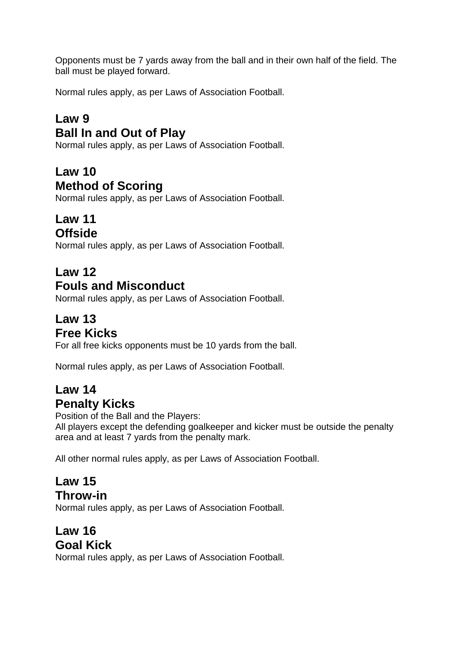Opponents must be 7 yards away from the ball and in their own half of the field. The ball must be played forward.

Normal rules apply, as per Laws of Association Football.

## **Law 9 Ball In and Out of Play**

Normal rules apply, as per Laws of Association Football.

# **Law 10**

### **Method of Scoring**

Normal rules apply, as per Laws of Association Football.

# **Law 11**

## **Offside**

Normal rules apply, as per Laws of Association Football.

## **Law 12**

## **Fouls and Misconduct**

Normal rules apply, as per Laws of Association Football.

## **Law 13 Free Kicks**

For all free kicks opponents must be 10 yards from the ball.

Normal rules apply, as per Laws of Association Football.

## **Law 14 Penalty Kicks**

Position of the Ball and the Players:

All players except the defending goalkeeper and kicker must be outside the penalty area and at least 7 yards from the penalty mark.

All other normal rules apply, as per Laws of Association Football.

#### **Law 15 Throw-in**

Normal rules apply, as per Laws of Association Football.

#### **Law 16 Goal Kick**

Normal rules apply, as per Laws of Association Football.